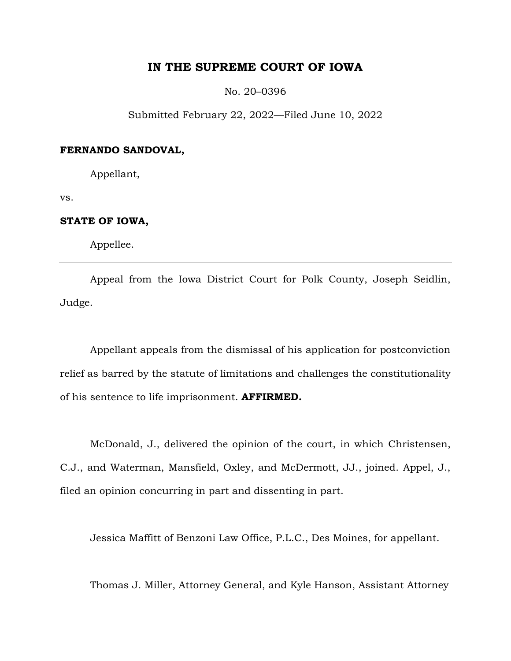# **IN THE SUPREME COURT OF IOWA**

No. 20–0396

Submitted February 22, 2022—Filed June 10, 2022

### **FERNANDO SANDOVAL,**

Appellant,

vs.

# **STATE OF IOWA,**

Appellee.

Appeal from the Iowa District Court for Polk County, Joseph Seidlin, Judge.

Appellant appeals from the dismissal of his application for postconviction relief as barred by the statute of limitations and challenges the constitutionality of his sentence to life imprisonment. **AFFIRMED.**

McDonald, J., delivered the opinion of the court, in which Christensen, C.J., and Waterman, Mansfield, Oxley, and McDermott, JJ., joined. Appel, J., filed an opinion concurring in part and dissenting in part.

Jessica Maffitt of Benzoni Law Office, P.L.C., Des Moines, for appellant.

Thomas J. Miller, Attorney General, and Kyle Hanson, Assistant Attorney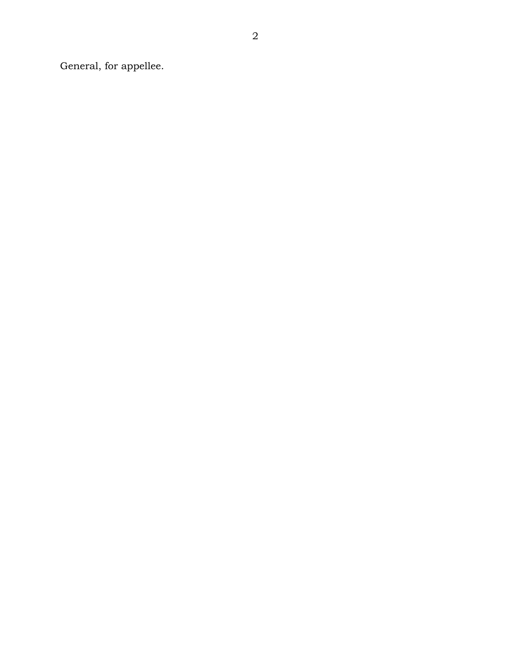General, for appellee.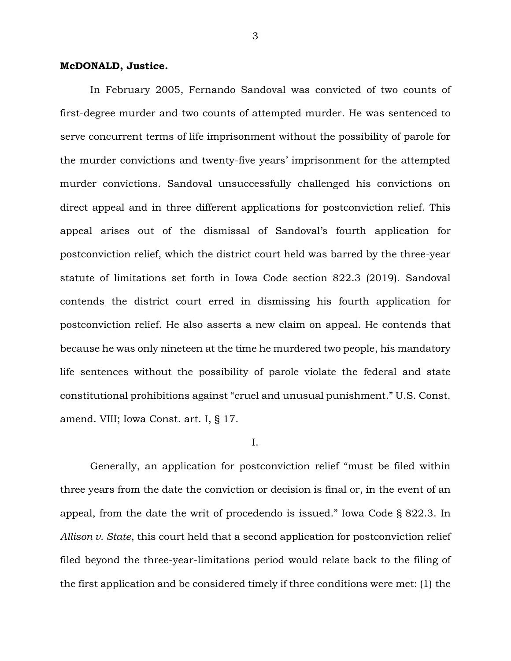### **McDONALD, Justice.**

In February 2005, Fernando Sandoval was convicted of two counts of first-degree murder and two counts of attempted murder. He was sentenced to serve concurrent terms of life imprisonment without the possibility of parole for the murder convictions and twenty-five years' imprisonment for the attempted murder convictions. Sandoval unsuccessfully challenged his convictions on direct appeal and in three different applications for postconviction relief. This appeal arises out of the dismissal of Sandoval's fourth application for postconviction relief, which the district court held was barred by the three-year statute of limitations set forth in Iowa Code section 822.3 (2019). Sandoval contends the district court erred in dismissing his fourth application for postconviction relief. He also asserts a new claim on appeal. He contends that because he was only nineteen at the time he murdered two people, his mandatory life sentences without the possibility of parole violate the federal and state constitutional prohibitions against "cruel and unusual punishment." U.S. Const. amend. VIII; Iowa Const. art. I, § 17.

I.

Generally, an application for postconviction relief "must be filed within three years from the date the conviction or decision is final or, in the event of an appeal, from the date the writ of procedendo is issued." Iowa Code § 822.3. In *Allison v. State*, this court held that a second application for postconviction relief filed beyond the three-year-limitations period would relate back to the filing of the first application and be considered timely if three conditions were met: (1) the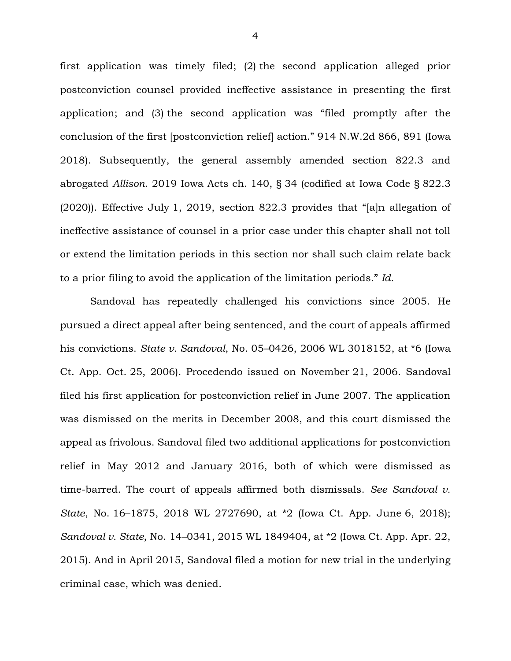first application was timely filed; (2) the second application alleged prior postconviction counsel provided ineffective assistance in presenting the first application; and (3) the second application was "filed promptly after the conclusion of the first [postconviction relief] action." 914 N.W.2d 866, 891 (Iowa 2018). Subsequently, the general assembly amended section 822.3 and abrogated *Allison*. 2019 Iowa Acts ch. 140, § 34 (codified at Iowa Code § 822.3 (2020)). Effective July 1, 2019, section 822.3 provides that "[a]n allegation of ineffective assistance of counsel in a prior case under this chapter shall not toll or extend the limitation periods in this section nor shall such claim relate back to a prior filing to avoid the application of the limitation periods." *Id.*

Sandoval has repeatedly challenged his convictions since 2005. He pursued a direct appeal after being sentenced, and the court of appeals affirmed his convictions. *State v. Sandoval*, No. 05–0426, 2006 WL 3018152, at \*6 (Iowa Ct. App. Oct. 25, 2006). Procedendo issued on November 21, 2006. Sandoval filed his first application for postconviction relief in June 2007. The application was dismissed on the merits in December 2008, and this court dismissed the appeal as frivolous. Sandoval filed two additional applications for postconviction relief in May 2012 and January 2016, both of which were dismissed as time-barred. The court of appeals affirmed both dismissals. *See Sandoval v. State*, No. 16–1875, 2018 WL 2727690, at \*2 (Iowa Ct. App. June 6, 2018); *Sandoval v. State*, No. 14–0341, 2015 WL 1849404, at \*2 (Iowa Ct. App. Apr. 22, 2015). And in April 2015, Sandoval filed a motion for new trial in the underlying criminal case, which was denied.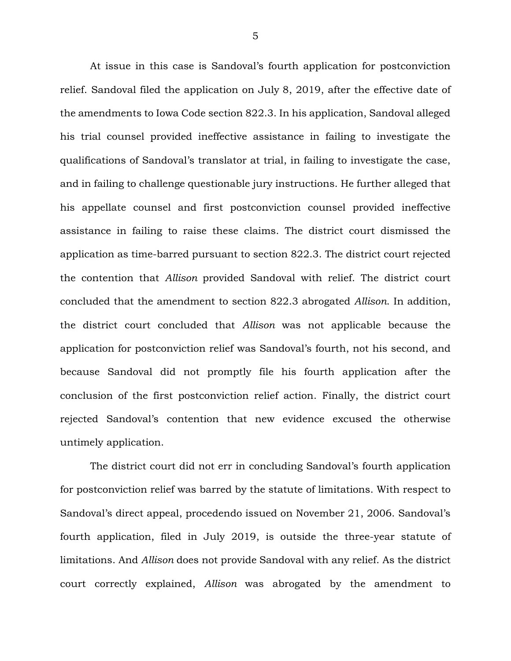At issue in this case is Sandoval's fourth application for postconviction relief. Sandoval filed the application on July 8, 2019, after the effective date of the amendments to Iowa Code section 822.3. In his application, Sandoval alleged his trial counsel provided ineffective assistance in failing to investigate the qualifications of Sandoval's translator at trial, in failing to investigate the case, and in failing to challenge questionable jury instructions. He further alleged that his appellate counsel and first postconviction counsel provided ineffective assistance in failing to raise these claims. The district court dismissed the application as time-barred pursuant to section 822.3. The district court rejected the contention that *Allison* provided Sandoval with relief. The district court concluded that the amendment to section 822.3 abrogated *Allison*. In addition, the district court concluded that *Allison* was not applicable because the application for postconviction relief was Sandoval's fourth, not his second, and because Sandoval did not promptly file his fourth application after the conclusion of the first postconviction relief action. Finally, the district court rejected Sandoval's contention that new evidence excused the otherwise untimely application.

The district court did not err in concluding Sandoval's fourth application for postconviction relief was barred by the statute of limitations. With respect to Sandoval's direct appeal, procedendo issued on November 21, 2006. Sandoval's fourth application, filed in July 2019, is outside the three-year statute of limitations. And *Allison* does not provide Sandoval with any relief. As the district court correctly explained, *Allison* was abrogated by the amendment to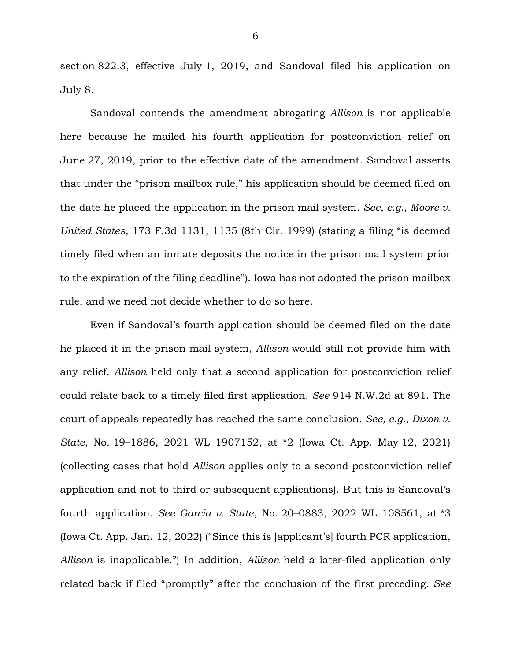section 822.3, effective July 1, 2019, and Sandoval filed his application on July 8.

Sandoval contends the amendment abrogating *Allison* is not applicable here because he mailed his fourth application for postconviction relief on June 27, 2019, prior to the effective date of the amendment. Sandoval asserts that under the "prison mailbox rule," his application should be deemed filed on the date he placed the application in the prison mail system. *See, e.g.*, *Moore v. United States*, 173 F.3d 1131, 1135 (8th Cir. 1999) (stating a filing "is deemed timely filed when an inmate deposits the notice in the prison mail system prior to the expiration of the filing deadline"). Iowa has not adopted the prison mailbox rule, and we need not decide whether to do so here.

Even if Sandoval's fourth application should be deemed filed on the date he placed it in the prison mail system, *Allison* would still not provide him with any relief. *Allison* held only that a second application for postconviction relief could relate back to a timely filed first application. *See* 914 N.W.2d at 891. The court of appeals repeatedly has reached the same conclusion. *See, e.g.*, *Dixon v. State*, No. 19–1886, 2021 WL 1907152, at \*2 (Iowa Ct. App. May 12, 2021) (collecting cases that hold *Allison* applies only to a second postconviction relief application and not to third or subsequent applications). But this is Sandoval's fourth application. *See Garcia v. State*, No. 20–0883, 2022 WL 108561, at \*3 (Iowa Ct. App. Jan. 12, 2022) ("Since this is [applicant's] fourth PCR application, *Allison* is inapplicable.") In addition, *Allison* held a later-filed application only related back if filed "promptly" after the conclusion of the first preceding. *See*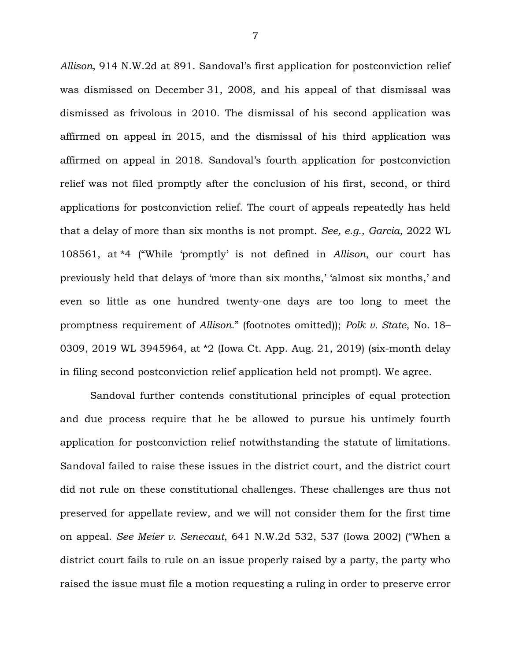*Allison*, 914 N.W.2d at 891. Sandoval's first application for postconviction relief was dismissed on December 31, 2008, and his appeal of that dismissal was dismissed as frivolous in 2010. The dismissal of his second application was affirmed on appeal in 2015, and the dismissal of his third application was affirmed on appeal in 2018. Sandoval's fourth application for postconviction relief was not filed promptly after the conclusion of his first, second, or third applications for postconviction relief. The court of appeals repeatedly has held that a delay of more than six months is not prompt. *See, e.g.*, *Garcia*, 2022 WL 108561, at \*4 ("While 'promptly' is not defined in *Allison*, our court has previously held that delays of 'more than six months,' 'almost six months,' and even so little as one hundred twenty-one days are too long to meet the promptness requirement of *Allison*." (footnotes omitted)); *Polk v. State*, No. 18– 0309, 2019 WL 3945964, at \*2 (Iowa Ct. App. Aug. 21, 2019) (six-month delay in filing second postconviction relief application held not prompt). We agree.

Sandoval further contends constitutional principles of equal protection and due process require that he be allowed to pursue his untimely fourth application for postconviction relief notwithstanding the statute of limitations. Sandoval failed to raise these issues in the district court, and the district court did not rule on these constitutional challenges. These challenges are thus not preserved for appellate review, and we will not consider them for the first time on appeal. *See Meier v. Senecaut*, 641 N.W.2d 532, 537 (Iowa 2002) ("When a district court fails to rule on an issue properly raised by a party, the party who raised the issue must file a motion requesting a ruling in order to preserve error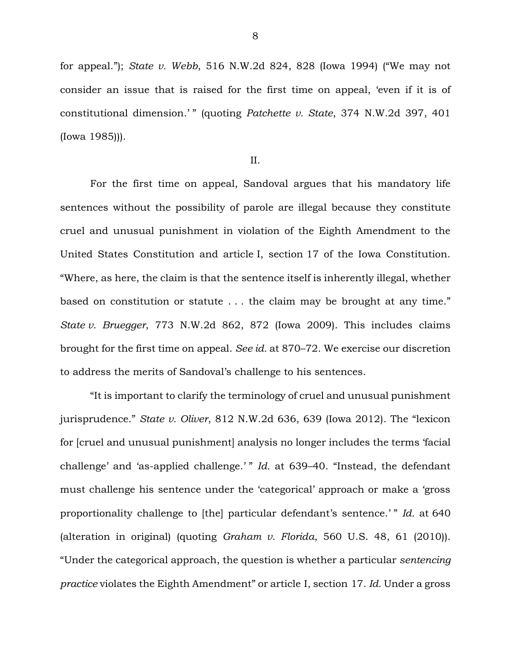for appeal."); *State v. Webb*, 516 N.W.2d 824, 828 (Iowa 1994) ("We may not consider an issue that is raised for the first time on appeal, 'even if it is of constitutional dimension.'" (quoting *Patchette v. State*, 374 N.W.2d 397, 401 (Iowa 1985))).

II.

For the first time on appeal, Sandoval argues that his mandatory life sentences without the possibility of parole are illegal because they constitute cruel and unusual punishment in violation of the Eighth Amendment to the United States Constitution and article I, section 17 of the Iowa Constitution. "Where, as here, the claim is that the sentence itself is inherently illegal, whether based on constitution or statute . . . the claim may be brought at any time." *State v. Bruegger*, 773 N.W.2d 862, 872 (Iowa 2009). This includes claims brought for the first time on appeal. *See id.* at 870–72. We exercise our discretion to address the merits of Sandoval's challenge to his sentences.

"It is important to clarify the terminology of cruel and unusual punishment jurisprudence." *State v. Oliver*, 812 N.W.2d 636, 639 (Iowa 2012). The "lexicon for [cruel and unusual punishment] analysis no longer includes the terms 'facial challenge' and 'as-applied challenge.' " *Id.* at 639–40. "Instead, the defendant must challenge his sentence under the 'categorical' approach or make a 'gross proportionality challenge to [the] particular defendant's sentence.' " *Id.* at 640 (alteration in original) (quoting *Graham v. Florida*, 560 U.S. 48, 61 (2010)). "Under the categorical approach, the question is whether a particular *sentencing practice* violates the Eighth Amendment" or article I, section 17. *Id.* Under a gross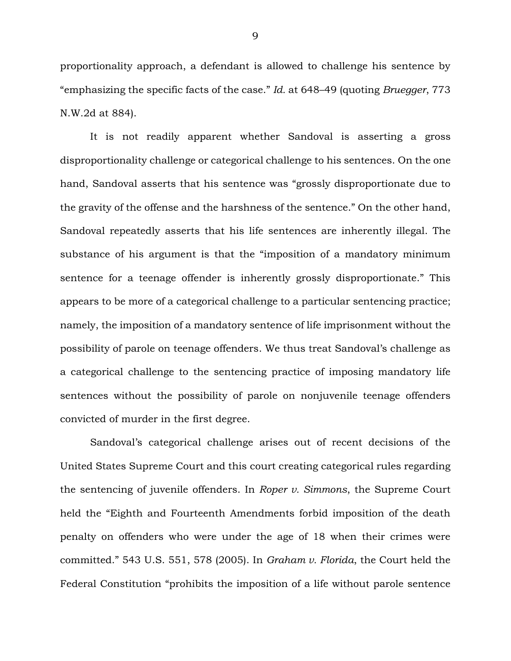proportionality approach, a defendant is allowed to challenge his sentence by "emphasizing the specific facts of the case." *Id.* at 648–49 (quoting *Bruegger*, 773 N.W.2d at 884).

It is not readily apparent whether Sandoval is asserting a gross disproportionality challenge or categorical challenge to his sentences. On the one hand, Sandoval asserts that his sentence was "grossly disproportionate due to the gravity of the offense and the harshness of the sentence." On the other hand, Sandoval repeatedly asserts that his life sentences are inherently illegal. The substance of his argument is that the "imposition of a mandatory minimum sentence for a teenage offender is inherently grossly disproportionate." This appears to be more of a categorical challenge to a particular sentencing practice; namely, the imposition of a mandatory sentence of life imprisonment without the possibility of parole on teenage offenders. We thus treat Sandoval's challenge as a categorical challenge to the sentencing practice of imposing mandatory life sentences without the possibility of parole on nonjuvenile teenage offenders convicted of murder in the first degree.

Sandoval's categorical challenge arises out of recent decisions of the United States Supreme Court and this court creating categorical rules regarding the sentencing of juvenile offenders. In *Roper v. Simmons*, the Supreme Court held the "Eighth and Fourteenth Amendments forbid imposition of the death penalty on offenders who were under the age of 18 when their crimes were committed." 543 U.S. 551, 578 (2005). In *Graham v. Florida*, the Court held the Federal Constitution "prohibits the imposition of a life without parole sentence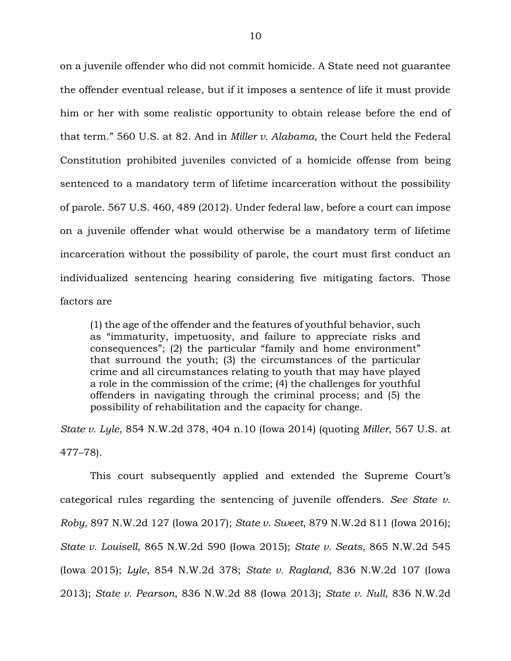on a juvenile offender who did not commit homicide. A State need not guarantee the offender eventual release, but if it imposes a sentence of life it must provide him or her with some realistic opportunity to obtain release before the end of that term." 560 U.S. at 82. And in *Miller v. Alabama*, the Court held the Federal Constitution prohibited juveniles convicted of a homicide offense from being sentenced to a mandatory term of lifetime incarceration without the possibility of parole. 567 U.S. 460, 489 (2012). Under federal law, before a court can impose on a juvenile offender what would otherwise be a mandatory term of lifetime incarceration without the possibility of parole, the court must first conduct an individualized sentencing hearing considering five mitigating factors. Those factors are

(1) the age of the offender and the features of youthful behavior, such as "immaturity, impetuosity, and failure to appreciate risks and consequences"; (2) the particular "family and home environment" that surround the youth; (3) the circumstances of the particular crime and all circumstances relating to youth that may have played a role in the commission of the crime; (4) the challenges for youthful offenders in navigating through the criminal process; and (5) the possibility of rehabilitation and the capacity for change.

*State v. Lyle*, 854 N.W.2d 378, 404 n.10 (Iowa 2014) (quoting *Miller*, 567 U.S. at 477–78).

This court subsequently applied and extended the Supreme Court's categorical rules regarding the sentencing of juvenile offenders. *See State v. Roby*, 897 N.W.2d 127 (Iowa 2017); *State v. Sweet*, 879 N.W.2d 811 (Iowa 2016); *State v. Louisell*, 865 N.W.2d 590 (Iowa 2015); *State v. Seats*, 865 N.W.2d 545 (Iowa 2015); *Lyle*, 854 N.W.2d 378; *State v. Ragland*, 836 N.W.2d 107 (Iowa 2013); *State v. Pearson*, 836 N.W.2d 88 (Iowa 2013); *State v. Null*, 836 N.W.2d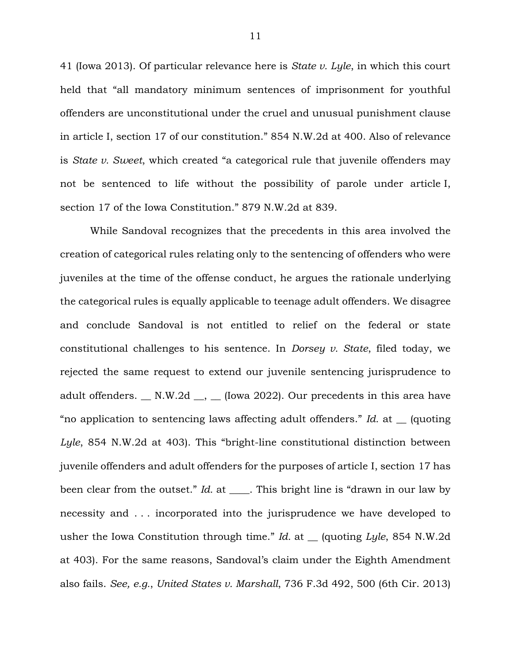41 (Iowa 2013). Of particular relevance here is *State v. Lyle*, in which this court held that "all mandatory minimum sentences of imprisonment for youthful offenders are unconstitutional under the cruel and unusual punishment clause in article I, section 17 of our constitution." 854 N.W.2d at 400. Also of relevance is *State v. Sweet*, which created "a categorical rule that juvenile offenders may not be sentenced to life without the possibility of parole under article I, section 17 of the Iowa Constitution." 879 N.W.2d at 839.

While Sandoval recognizes that the precedents in this area involved the creation of categorical rules relating only to the sentencing of offenders who were juveniles at the time of the offense conduct, he argues the rationale underlying the categorical rules is equally applicable to teenage adult offenders. We disagree and conclude Sandoval is not entitled to relief on the federal or state constitutional challenges to his sentence. In *Dorsey v. State*, filed today, we rejected the same request to extend our juvenile sentencing jurisprudence to adult offenders.  $\_\ N.W.2d \_\ ,\_\ [Iowa 2022]$ . Our precedents in this area have "no application to sentencing laws affecting adult offenders." *Id.* at \_\_ (quoting *Lyle*, 854 N.W.2d at 403). This "bright-line constitutional distinction between juvenile offenders and adult offenders for the purposes of article I, section 17 has been clear from the outset." *Id.* at \_\_\_\_. This bright line is "drawn in our law by necessity and . . . incorporated into the jurisprudence we have developed to usher the Iowa Constitution through time." *Id.* at \_\_ (quoting *Lyle*, 854 N.W.2d at 403). For the same reasons, Sandoval's claim under the Eighth Amendment also fails. *See, e.g.*, *United States v. Marshall*, 736 F.3d 492, 500 (6th Cir. 2013)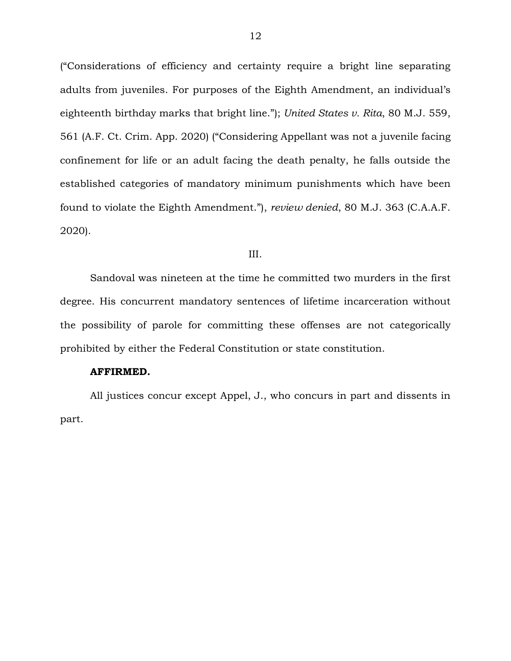("Considerations of efficiency and certainty require a bright line separating adults from juveniles. For purposes of the Eighth Amendment, an individual's eighteenth birthday marks that bright line."); *United States v. Rita*, 80 M.J. 559, 561 (A.F. Ct. Crim. App. 2020) ("Considering Appellant was not a juvenile facing confinement for life or an adult facing the death penalty, he falls outside the established categories of mandatory minimum punishments which have been found to violate the Eighth Amendment."), *review denied*, 80 M.J. 363 (C.A.A.F. 2020).

#### III.

Sandoval was nineteen at the time he committed two murders in the first degree. His concurrent mandatory sentences of lifetime incarceration without the possibility of parole for committing these offenses are not categorically prohibited by either the Federal Constitution or state constitution.

#### **AFFIRMED.**

All justices concur except Appel, J., who concurs in part and dissents in part.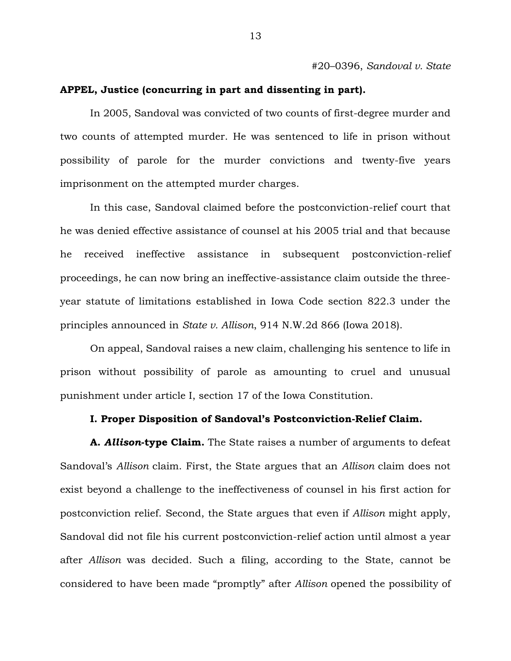#20–0396, *Sandoval v. State*

## **APPEL, Justice (concurring in part and dissenting in part).**

In 2005, Sandoval was convicted of two counts of first-degree murder and two counts of attempted murder. He was sentenced to life in prison without possibility of parole for the murder convictions and twenty-five years imprisonment on the attempted murder charges.

In this case, Sandoval claimed before the postconviction-relief court that he was denied effective assistance of counsel at his 2005 trial and that because he received ineffective assistance in subsequent postconviction-relief proceedings, he can now bring an ineffective-assistance claim outside the threeyear statute of limitations established in Iowa Code section 822.3 under the principles announced in *State v. Allison*, 914 N.W.2d 866 (Iowa 2018).

On appeal, Sandoval raises a new claim, challenging his sentence to life in prison without possibility of parole as amounting to cruel and unusual punishment under article I, section 17 of the Iowa Constitution.

## **I. Proper Disposition of Sandoval's Postconviction-Relief Claim.**

**A.** *Allison***-type Claim.** The State raises a number of arguments to defeat Sandoval's *Allison* claim. First, the State argues that an *Allison* claim does not exist beyond a challenge to the ineffectiveness of counsel in his first action for postconviction relief. Second, the State argues that even if *Allison* might apply, Sandoval did not file his current postconviction-relief action until almost a year after *Allison* was decided. Such a filing, according to the State, cannot be considered to have been made "promptly" after *Allison* opened the possibility of

13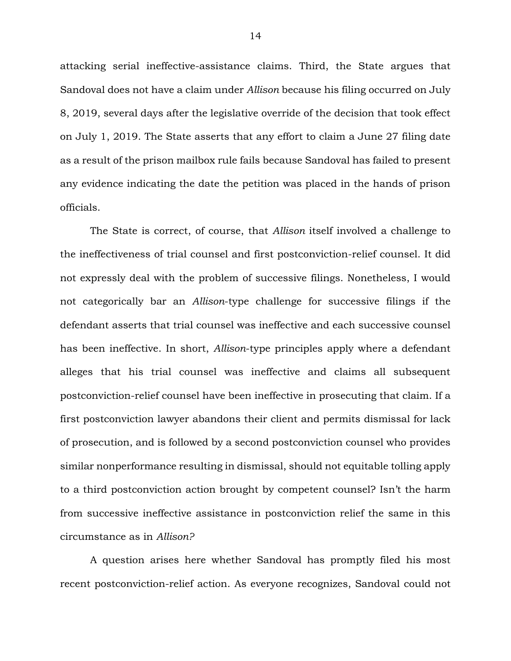attacking serial ineffective-assistance claims. Third, the State argues that Sandoval does not have a claim under *Allison* because his filing occurred on July 8, 2019, several days after the legislative override of the decision that took effect on July 1, 2019. The State asserts that any effort to claim a June 27 filing date as a result of the prison mailbox rule fails because Sandoval has failed to present any evidence indicating the date the petition was placed in the hands of prison officials.

The State is correct, of course, that *Allison* itself involved a challenge to the ineffectiveness of trial counsel and first postconviction-relief counsel. It did not expressly deal with the problem of successive filings. Nonetheless, I would not categorically bar an *Allison*-type challenge for successive filings if the defendant asserts that trial counsel was ineffective and each successive counsel has been ineffective. In short, *Allison*-type principles apply where a defendant alleges that his trial counsel was ineffective and claims all subsequent postconviction-relief counsel have been ineffective in prosecuting that claim. If a first postconviction lawyer abandons their client and permits dismissal for lack of prosecution, and is followed by a second postconviction counsel who provides similar nonperformance resulting in dismissal, should not equitable tolling apply to a third postconviction action brought by competent counsel? Isn't the harm from successive ineffective assistance in postconviction relief the same in this circumstance as in *Allison?*

A question arises here whether Sandoval has promptly filed his most recent postconviction-relief action. As everyone recognizes, Sandoval could not

14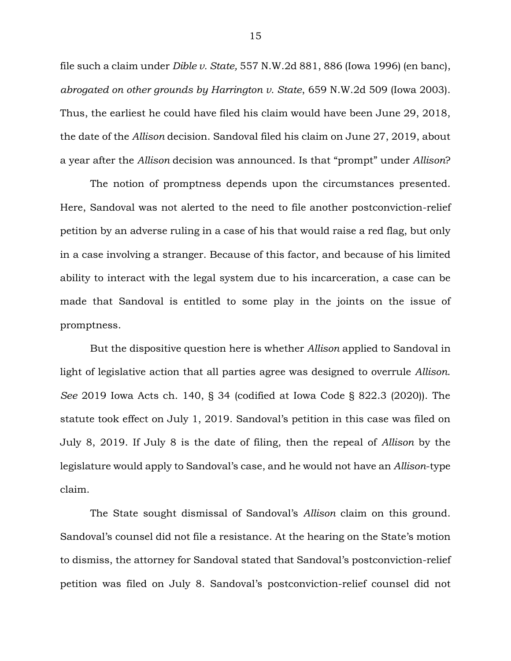file such a claim under *Dible v. State,* 557 N.W.2d 881, 886 (Iowa 1996) (en banc), *abrogated on other grounds by Harrington v. State*, 659 N.W.2d 509 (Iowa 2003). Thus, the earliest he could have filed his claim would have been June 29, 2018, the date of the *Allison* decision. Sandoval filed his claim on June 27, 2019, about a year after the *Allison* decision was announced. Is that "prompt" under *Allison*?

The notion of promptness depends upon the circumstances presented. Here, Sandoval was not alerted to the need to file another postconviction-relief petition by an adverse ruling in a case of his that would raise a red flag, but only in a case involving a stranger. Because of this factor, and because of his limited ability to interact with the legal system due to his incarceration, a case can be made that Sandoval is entitled to some play in the joints on the issue of promptness.

But the dispositive question here is whether *Allison* applied to Sandoval in light of legislative action that all parties agree was designed to overrule *Allison*. *See* 2019 Iowa Acts ch. 140, § 34 (codified at Iowa Code § 822.3 (2020)). The statute took effect on July 1, 2019. Sandoval's petition in this case was filed on July 8, 2019. If July 8 is the date of filing, then the repeal of *Allison* by the legislature would apply to Sandoval's case, and he would not have an *Allison*-type claim.

The State sought dismissal of Sandoval's *Allison* claim on this ground. Sandoval's counsel did not file a resistance. At the hearing on the State's motion to dismiss, the attorney for Sandoval stated that Sandoval's postconviction-relief petition was filed on July 8. Sandoval's postconviction-relief counsel did not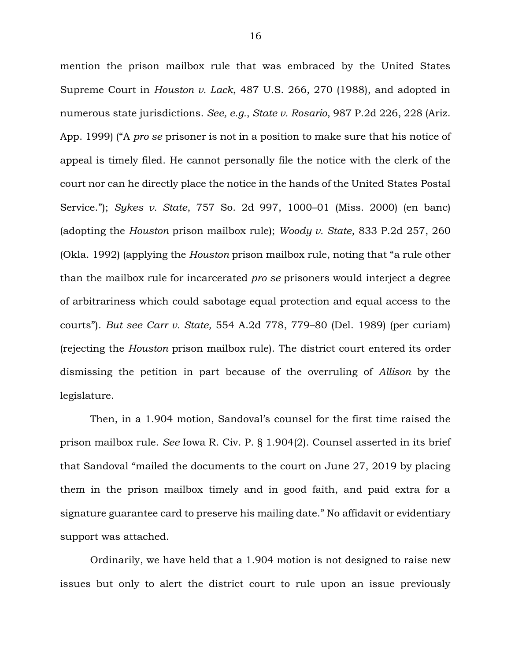mention the prison mailbox rule that was embraced by the United States Supreme Court in *Houston v. Lack*, 487 U.S. 266, 270 (1988), and adopted in numerous state jurisdictions. *See, e.g.*, *State v. Rosario*, 987 P.2d 226, 228 (Ariz. App. 1999) ("A *pro se* prisoner is not in a position to make sure that his notice of appeal is timely filed. He cannot personally file the notice with the clerk of the court nor can he directly place the notice in the hands of the United States Postal Service."); *Sykes v. State*, 757 So. 2d 997, 1000–01 (Miss. 2000) (en banc) (adopting the *Houston* prison mailbox rule); *Woody v. State*, 833 P.2d 257, 260 (Okla. 1992) (applying the *Houston* prison mailbox rule, noting that "a rule other than the mailbox rule for incarcerated *pro se* prisoners would interject a degree of arbitrariness which could sabotage equal protection and equal access to the courts"). *But see Carr v. State,* 554 A.2d 778, 779–80 (Del. 1989) (per curiam) (rejecting the *Houston* prison mailbox rule). The district court entered its order dismissing the petition in part because of the overruling of *Allison* by the legislature.

Then, in a 1.904 motion, Sandoval's counsel for the first time raised the prison mailbox rule. *See* Iowa R. Civ. P. § 1.904(2). Counsel asserted in its brief that Sandoval "mailed the documents to the court on June 27, 2019 by placing them in the prison mailbox timely and in good faith, and paid extra for a signature guarantee card to preserve his mailing date." No affidavit or evidentiary support was attached.

Ordinarily, we have held that a 1.904 motion is not designed to raise new issues but only to alert the district court to rule upon an issue previously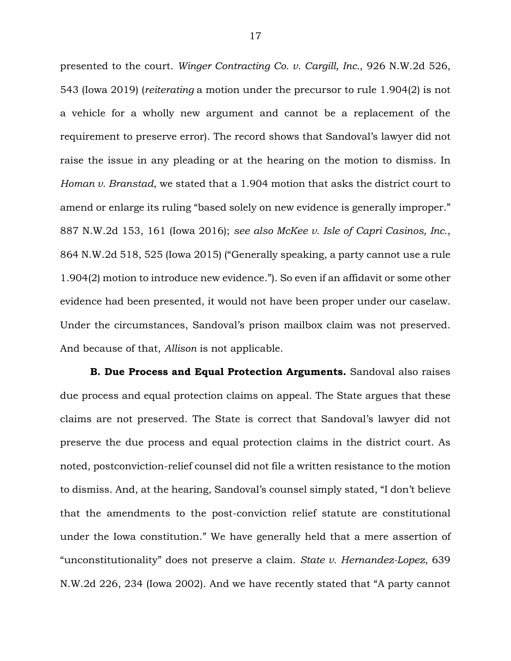presented to the court. *Winger Contracting Co. v. Cargill, Inc.*, 926 N.W.2d 526, 543 (Iowa 2019) (*reiterating* a motion under the precursor to rule 1.904(2) is not a vehicle for a wholly new argument and cannot be a replacement of the requirement to preserve error). The record shows that Sandoval's lawyer did not raise the issue in any pleading or at the hearing on the motion to dismiss. In *Homan v. Branstad*, we stated that a 1.904 motion that asks the district court to amend or enlarge its ruling "based solely on new evidence is generally improper." 887 N.W.2d 153, 161 (Iowa 2016); *see also McKee v. Isle of Capri Casinos, Inc.*, 864 N.W.2d 518, 525 (Iowa 2015) ("Generally speaking, a party cannot use a rule 1.904(2) motion to introduce new evidence."). So even if an affidavit or some other evidence had been presented, it would not have been proper under our caselaw. Under the circumstances, Sandoval's prison mailbox claim was not preserved. And because of that, *Allison* is not applicable.

**B. Due Process and Equal Protection Arguments.** Sandoval also raises due process and equal protection claims on appeal. The State argues that these claims are not preserved. The State is correct that Sandoval's lawyer did not preserve the due process and equal protection claims in the district court. As noted, postconviction-relief counsel did not file a written resistance to the motion to dismiss. And, at the hearing, Sandoval's counsel simply stated, "I don't believe that the amendments to the post-conviction relief statute are constitutional under the Iowa constitution." We have generally held that a mere assertion of "unconstitutionality" does not preserve a claim. *State v. Hernandez-Lopez*, 639 N.W.2d 226, 234 (Iowa 2002). And we have recently stated that "A party cannot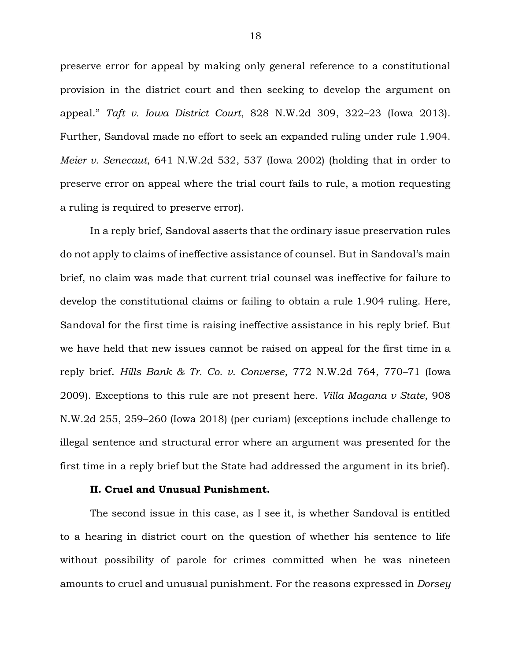preserve error for appeal by making only general reference to a constitutional provision in the district court and then seeking to develop the argument on appeal." *Taft v. Iowa District Court*, 828 N.W.2d 309, 322–23 (Iowa 2013). Further, Sandoval made no effort to seek an expanded ruling under rule 1.904. *Meier v. Senecaut*, 641 N.W.2d 532, 537 (Iowa 2002) (holding that in order to preserve error on appeal where the trial court fails to rule, a motion requesting a ruling is required to preserve error).

In a reply brief, Sandoval asserts that the ordinary issue preservation rules do not apply to claims of ineffective assistance of counsel. But in Sandoval's main brief, no claim was made that current trial counsel was ineffective for failure to develop the constitutional claims or failing to obtain a rule 1.904 ruling. Here, Sandoval for the first time is raising ineffective assistance in his reply brief. But we have held that new issues cannot be raised on appeal for the first time in a reply brief. *Hills Bank & Tr. Co. v. Converse*, 772 N.W.2d 764, 770–71 (Iowa 2009). Exceptions to this rule are not present here. *Villa Magana v State*, 908 N.W.2d 255, 259–260 (Iowa 2018) (per curiam) (exceptions include challenge to illegal sentence and structural error where an argument was presented for the first time in a reply brief but the State had addressed the argument in its brief).

## **II. Cruel and Unusual Punishment.**

The second issue in this case, as I see it, is whether Sandoval is entitled to a hearing in district court on the question of whether his sentence to life without possibility of parole for crimes committed when he was nineteen amounts to cruel and unusual punishment. For the reasons expressed in *Dorsey*